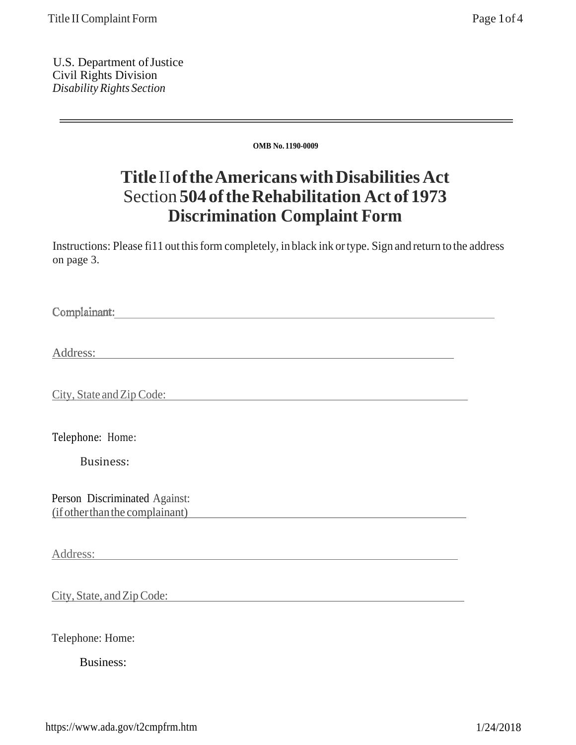U.S. Department of Justice Civil Rights Division *Disability Rights Section*

**OMB No. 1190-0009**

## **Title** II **of the Americans with Disabilities Act** Section **504 of the Rehabilitation Act of 1973 Discrimination Complaint Form**

Instructions: Please fi11 out this form completely, in black ink or type. Sign and return to the address on page 3.

Complainant:

Address:

City, State and Zip Code:

Telephone: Home:

Business:

Person Discriminated Against: (if other than the complainant)

Address:

City, State, and Zip Code:

Telephone: Home:

Business: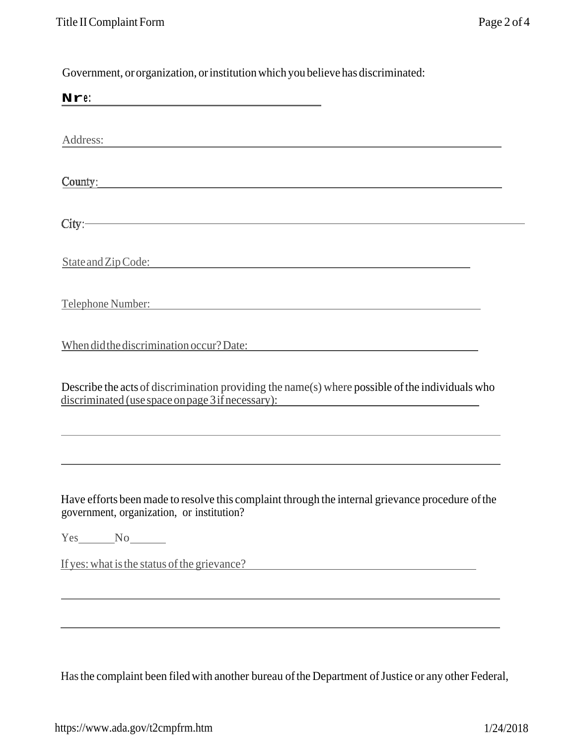Government, or organization, or institution which you believe has discriminated:

| Nre:                                                                                                                                                 |
|------------------------------------------------------------------------------------------------------------------------------------------------------|
| Address:                                                                                                                                             |
| County:                                                                                                                                              |
| City:                                                                                                                                                |
| State and Zip Code:                                                                                                                                  |
| Telephone Number: Telephone Number:                                                                                                                  |
| When did the discrimination occur? Date:                                                                                                             |
| Describe the acts of discrimination providing the name(s) where possible of the individuals who<br>discriminated (use space on page 3 if necessary): |
| Have efforts been made to resolve this complaint through the internal grievance procedure of the                                                     |
| government, organization, or institution?                                                                                                            |
|                                                                                                                                                      |
| If yes: what is the status of the grievance?                                                                                                         |
|                                                                                                                                                      |
|                                                                                                                                                      |

Has the complaint been filed with another bureau of the Department of Justice or any other Federal,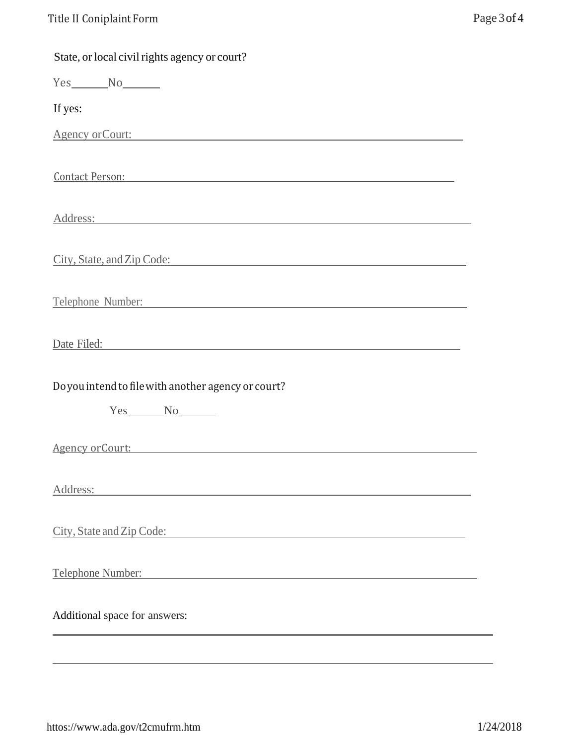| State, or local civil rights agency or court?                                                                                                                                                                                 |
|-------------------------------------------------------------------------------------------------------------------------------------------------------------------------------------------------------------------------------|
| $Yes$ $No$                                                                                                                                                                                                                    |
| If yes:                                                                                                                                                                                                                       |
| Agency or Court:                                                                                                                                                                                                              |
| <u>Contact Person:</u> Contact Person:                                                                                                                                                                                        |
| Address:                                                                                                                                                                                                                      |
| City, State, and Zip Code:                                                                                                                                                                                                    |
| Telephone Number:                                                                                                                                                                                                             |
| Date Filed: National Contract of the Contract of the Contract of the Contract of the Contract of the Contract of the Contract of the Contract of the Contract of the Contract of the Contract of the Contract of the Contract |
| Do you intend to file with another agency or court?                                                                                                                                                                           |
| $Yes$ No $N$                                                                                                                                                                                                                  |
| Agency or Court:                                                                                                                                                                                                              |
| Address:<br>the control of the control of the control of the control of the control of                                                                                                                                        |
| City, State and Zip Code:                                                                                                                                                                                                     |
| Telephone Number:                                                                                                                                                                                                             |
| Additional space for answers:                                                                                                                                                                                                 |
|                                                                                                                                                                                                                               |